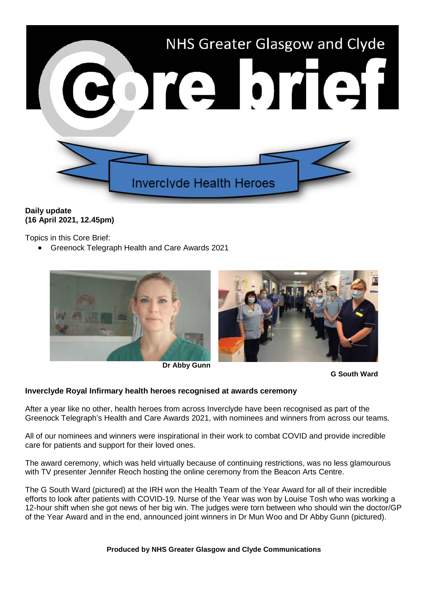

## **Daily update (16 April 2021, 12.45pm)**

Topics in this Core Brief:

• Greenock Telegraph Health and Care Awards 2021



**Dr Abby Gunn**

**G South Ward** 

## **Inverclyde Royal Infirmary health heroes recognised at awards ceremony**

After a year like no other, health heroes from across Inverclyde have been recognised as part of the Greenock Telegraph's Health and Care Awards 2021, with nominees and winners from across our teams.

All of our nominees and winners were inspirational in their work to combat COVID and provide incredible care for patients and support for their loved ones.

The award ceremony, which was held virtually because of continuing restrictions, was no less glamourous with TV presenter Jennifer Reoch hosting the online ceremony from the Beacon Arts Centre.

The G South Ward (pictured) at the IRH won the Health Team of the Year Award for all of their incredible efforts to look after patients with COVID-19. Nurse of the Year was won by Louise Tosh who was working a 12-hour shift when she got news of her big win. The judges were torn between who should win the doctor/GP of the Year Award and in the end, announced joint winners in Dr Mun Woo and Dr Abby Gunn (pictured).

**Produced by NHS Greater Glasgow and Clyde Communications**